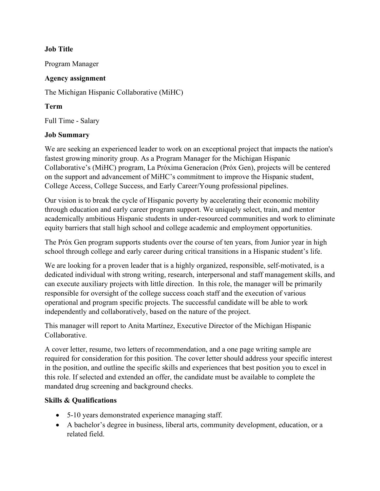## **Job Title**

Program Manager

## **Agency assignment**

The Michigan Hispanic Collaborative (MiHC)

## **Term**

Full Time - Salary

## **Job Summary**

We are seeking an experienced leader to work on an exceptional project that impacts the nation's fastest growing minority group. As a Program Manager for the Michigan Hispanic Collaborative's (MiHC) program, La Próxima Generacíon (Próx Gen), projects will be centered on the support and advancement of MiHC's commitment to improve the Hispanic student, College Access, College Success, and Early Career/Young professional pipelines.

Our vision is to break the cycle of Hispanic poverty by accelerating their economic mobility through education and early career program support. We uniquely select, train, and mentor academically ambitious Hispanic students in under-resourced communities and work to eliminate equity barriers that stall high school and college academic and employment opportunities.

The Próx Gen program supports students over the course of ten years, from Junior year in high school through college and early career during critical transitions in a Hispanic student's life.

We are looking for a proven leader that is a highly organized, responsible, self-motivated, is a dedicated individual with strong writing, research, interpersonal and staff management skills, and can execute auxiliary projects with little direction. In this role, the manager will be primarily responsible for oversight of the college success coach staff and the execution of various operational and program specific projects. The successful candidate will be able to work independently and collaboratively, based on the nature of the project.

This manager will report to Anita Martínez, Executive Director of the Michigan Hispanic Collaborative.

A cover letter, resume, two letters of recommendation, and a one page writing sample are required for consideration for this position. The cover letter should address your specific interest in the position, and outline the specific skills and experiences that best position you to excel in this role. If selected and extended an offer, the candidate must be available to complete the mandated drug screening and background checks.

# **Skills & Qualifications**

- 5-10 years demonstrated experience managing staff.
- A bachelor's degree in business, liberal arts, community development, education, or a related field.